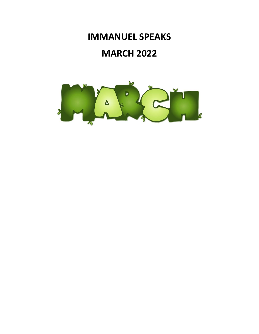# **IMMANUEL SPEAKS**

# **MARCH 2022**

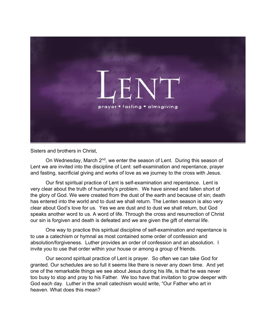

Sisters and brothers in Christ,

On Wednesday, March 2<sup>nd</sup>, we enter the season of Lent. During this season of Lent we are invited into the discipline of Lent: self-examination and repentance, prayer and fasting, sacrificial giving and works of love as we journey to the cross with Jesus.

Our first spiritual practice of Lent is self-examination and repentance. Lent is very clear about the truth of humanity's problem. We have sinned and fallen short of the glory of God. We were created from the dust of the earth and because of sin; death has entered into the world and to dust we shall return. The Lenten season is also very clear about God's love for us. Yes we are dust and to dust we shall return, but God speaks another word to us. A word of life. Through the cross and resurrection of Christ our sin is forgiven and death is defeated and we are given the gift of eternal life.

One way to practice this spiritual discipline of self-examination and repentance is to use a catechism or hymnal as most contained some order of confession and absolution/forgiveness. Luther provides an order of confession and an absolution. I invite you to use that order within your house or among a group of friends.

 Our second spiritual practice of Lent is prayer. So often we can take God for granted. Our schedules are so full it seems like there is never any down time. And yet one of the remarkable things we see about Jesus during his life, is that he was never too busy to stop and pray to his Father. We too have that invitation to grow deeper with God each day. Luther in the small catechism would write, "Our Father who art in heaven. What does this mean?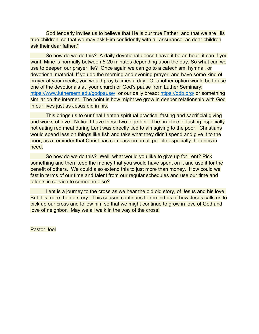God tenderly invites us to believe that He is our true Father, and that we are His true children, so that we may ask Him confidently with all assurance, as dear children ask their dear father."

 So how do we do this? A daily devotional doesn't have it be an hour, it can if you want. Mine is normally between 5-20 minutes depending upon the day. So what can we use to deepen our prayer life? Once again we can go to a catechism, hymnal, or devotional material. If you do the morning and evening prayer, and have some kind of prayer at your meals, you would pray 5 times a day. Or another option would be to use one of the devotionals at your church or God's pause from Luther Seminary: https://www.luthersem.edu/godpause/, or our daily bread: https://odb.org/ or something similar on the internet. The point is how might we grow in deeper relationship with God in our lives just as Jesus did in his.

 This brings us to our final Lenten spiritual practice: fasting and sacrificial giving and works of love. Notice I have these two together. The practice of fasting especially not eating red meat during Lent was directly tied to almsgiving to the poor. Christians would spend less on things like fish and take what they didn't spend and give it to the poor, as a reminder that Christ has compassion on all people especially the ones in need.

 So how do we do this? Well, what would you like to give up for Lent? Pick something and then keep the money that you would have spent on it and use it for the benefit of others. We could also extend this to just more than money. How could we fast in terms of our time and talent from our regular schedules and use our time and talents in service to someone else?

 Lent is a journey to the cross as we hear the old old story, of Jesus and his love. But it is more than a story. This season continues to remind us of how Jesus calls us to pick up our cross and follow him so that we might continue to grow in love of God and love of neighbor. May we all walk in the way of the cross!

Pastor Joel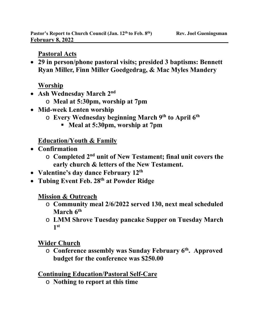### **Pastoral Acts**

 **29 in person/phone pastoral visits; presided 3 baptisms: Bennett Ryan Miller, Finn Miller Goedgedrag, & Mac Myles Mandery** 

### **Worship**

- **Ash Wednesday March 2nd** 
	- o **Meal at 5:30pm, worship at 7pm**
- **Mid-week Lenten worship** 
	- o **Every Wednesday beginning March 9th to April 6th** 
		- **Meal at 5:30pm, worship at 7pm**

## **Education/Youth & Family**

- **Confirmation** 
	- o **Completed 2nd unit of New Testament; final unit covers the early church & letters of the New Testament.**
- **Valentine's day dance February 12th**
- **Tubing Event Feb. 28th at Powder Ridge**

## **Mission & Outreach**

- o **Community meal 2/6/2022 served 130, next meal scheduled March 6th**
- o **LMM Shrove Tuesday pancake Supper on Tuesday March 1st**

## **Wider Church**

o **Conference assembly was Sunday February 6th. Approved budget for the conference was \$250.00** 

### **Continuing Education/Pastoral Self-Care**

o **Nothing to report at this time**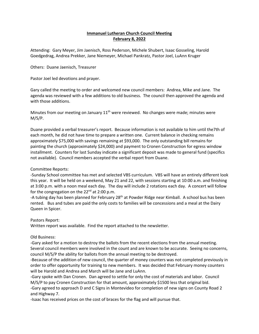#### **Immanuel Lutheran Church Council Meeting February 8, 2022**

Attending: Gary Meyer, Jim Jaenisch, Ross Pederson, Michele Shubert, Isaac Gosseling, Harold Goedgedrag, Andrea Prekker, Jane Niemeyer, Michael Pankratz, Pastor Joel, LuAnn Kruger

Others: Duane Jaenisch, Treasurer

Pastor Joel led devotions and prayer.

Gary called the meeting to order and welcomed new council members: Andrea, Mike and Jane. The agenda was reviewed with a few additions to old business. The council then approved the agenda and with those additions.

Minutes from our meeting on January  $11<sup>th</sup>$  were reviewed. No changes were made; minutes were M/S/P.

Duane provided a verbal treasurer's report. Because information is not available to him until the7th of each month, he did not have time to prepare a written one. Current balance in checking remains approximately \$75,000 with savings remaining at \$93,000. The only outstanding bill remains for painting the church (approximately \$24,000) and payment to Cronen Construction for egress window installment. Counters for last Sunday indicate a significant deposit was made to general fund (specifics not available). Council members accepted the verbal report from Duane.

#### Committee Reports:

‐Sunday School committee has met and selected VBS curriculum. VBS will have an entirely different look this year. It will be held on a weekend, May 21 and 22, with sessions starting at 10:00 a.m. and finishing at 3:00 p.m. with a noon meal each day. The day will include 2 rotations each day. A concert will follow for the congregation on the  $22<sup>nd</sup>$  at 2:00 p.m.

-A tubing day has been planned for February 28<sup>th</sup> at Powder Ridge near Kimball. A school bus has been rented. Bus and tubes are paid the only costs to families will be concessions and a meal at the Dairy Queen in Spicer.

Pastors Report:

Written report was available. Find the report attached to the newsletter.

#### Old Business:

‐Gary asked for a motion to destroy the ballots from the recent elections from the annual meeting. Several council members were involved in the count and are known to be accurate. Seeing no concerns, council M/S/P the ability for ballots from the annual meeting to be destroyed.

‐Because of the addition of new council, the quarter of money counters was not completed previously in order to offer opportunity for training to new members. It was decided that February money counters will be Harold and Andrea and March will be Jane and LuAnn.

‐Gary spoke with Dan Cronen. Dan agreed to settle for only the cost of materials and labor. Council M/S/P to pay Cronen Construction for that amount, approximately \$1500 less that original bid.

‐Gary agreed to approach D and C Signs in Montevideo for completion of new signs on County Road 2 and Highway 7.

‐Isaac has received prices on the cost of braces for the flag and will pursue that.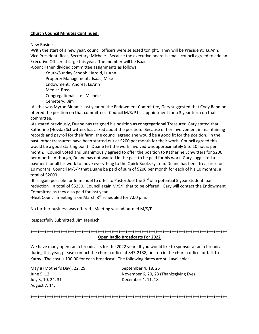#### **Church Council Minutes Continued:**

New Business:

‐With the start of a new year, council officers were selected tonight. They will be President: LuAnn; Vice President: Ross; Secretary: Michele. Because the executive board is small, council agreed to add an Executive Officer at large this year. The member will be Isaac.

‐Council then divided committee assignments as follows:

 Youth/Sunday School: Harold, LuAnn Property Management: Isaac, Mike Endowment: Andrea, LuAnn Media: Ross Congregational Life: Michele Cemetery: Jim

‐As this was Myron Bluhm's last year on the Endowment Committee, Gary suggested that Cody Rand be offered the position on that committee. Council M/S/P his appointment for a 3 year term on that committee.

‐As stated previously, Duane has resigned his position as congregational Treasurer. Gary stated that Katherine (Hovda) Schwitters has asked about the position. Because of her involvement in maintaining records and payroll for their farm, the council agreed she would be a good fit for the position. In the past, other treasurers have been started out at \$200 per month for their work. Council agreed this would be a good starting point. Duane felt the work involved was approximately 5 to 10 hours per month. Council voted and unanimously agreed to offer the position to Katherine Schwitters for \$200 per month. Although, Duane has not wanted in the past to be paid for his work, Gary suggested a payment for all his work to move everything to the Quick Books system. Duane has been treasurer for 10 months. Council M/S/P that Duane be paid of sum of \$200 per month for each of his 10 months, a total of \$2000.

-It is again possible for Immanuel to offer to Pastor Joel the 2<sup>nd</sup> of a potential 5 year student loan reduction – a total of \$5250. Council again M/S/P that to be offered. Gary will contact the Endowment Committee as they also paid for last year.

-Next Council meeting is on March  $8<sup>th</sup>$  scheduled for 7:00 p.m.

No further business was offered. Meeting was adjourned M/S/P.

Respectfully Submitted, Jim Jaenisch

+++++++++++++++++++++++++++++++++++++++++++++++++++++++++++++++++++++++++++++++++++++

#### **Open Radio Broadcasts For 2022**

We have many open radio broadcasts for the 2022 year. If you would like to sponsor a radio broadcast during this year, please contact the church office at 847‐2138, or stop in the church office, or talk to Kathy. The cost is 100.00 for each broadcast. The following dates are still available:

May 8 (Mother's Day), 22, 29 September 4, 18, 25 July 3, 10, 24, 31 December 4, 11, 18 August 7, 14,

June 5, 12 November 6, 20, 23 (Thanksgiving Eve)

+++++++++++++++++++++++++++++++++++++++++++++++++++++++++++++++++++++++++++++++++++++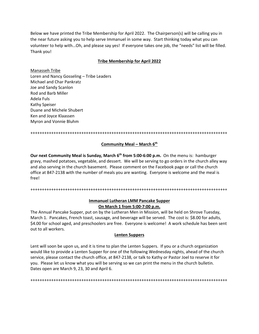Below we have printed the Tribe Membership for April 2022. The Chairperson(s) will be calling you in the near future asking you to help serve Immanuel in some way. Start thinking today what you can volunteer to help with…Oh, and please say yes! If everyone takes one job, the "needs" list will be filled. Thank you!

#### **Tribe Membership for April 2022**

Manasseh Tribe Loren and Nancy Gosseling – Tribe Leaders Michael and Char Pankratz Joe and Sandy Scanlon Rod and Barb Miller Adela Fuls Kathy Speiser Duane and Michele Shubert Ken and Joyce Klaassen Myron and Vonnie Bluhm

+++++++++++++++++++++++++++++++++++++++++++++++++++++++++++++++++++++++++++++++++++++

#### **Community Meal – March 6th**

**Our next Community Meal is Sunday, March 6<sup>th</sup> from 5:00-6:00 p.m.** On the menu is: hamburger gravy, mashed potatoes, vegetable, and dessert. We will be serving to go orders in the church alley way and also serving in the church basement. Please comment on the Facebook page or call the church office at 847‐2138 with the number of meals you are wanting. Everyone is welcome and the meal is free!

+++++++++++++++++++++++++++++++++++++++++++++++++++++++++++++++++++++++++++++++++++++

#### **Immanuel Lutheran LMM Pancake Supper On March 1 from 5:00‐7:00 p.m.**

The Annual Pancake Supper, put on by the Lutheran Men in Mission, will be held on Shrove Tuesday, March 1. Pancakes, French toast, sausage, and beverage will be served. The cost is: \$8.00 for adults, \$4.00 for school aged, and preschoolers are free. Everyone is welcome! A work schedule has been sent out to all workers.

#### **Lenten Suppers**

Lent will soon be upon us, and it is time to plan the Lenten Suppers. If you or a church organization would like to provide a Lenten Supper for one of the following Wednesday nights, ahead of the church service, please contact the church office, at 847‐2138, or talk to Kathy or Pastor Joel to reserve it for you. Please let us know what you will be serving so we can print the menu in the church bulletin. Dates open are March 9, 23, 30 and April 6.

+++++++++++++++++++++++++++++++++++++++++++++++++++++++++++++++++++++++++++++++++++++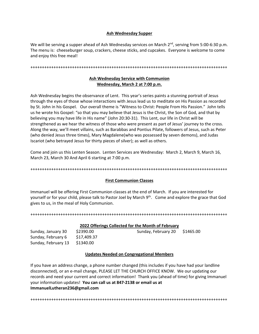#### **Ash Wednesday Supper**

We will be serving a supper ahead of Ash Wednesday services on March 2<sup>nd</sup>, serving from 5:00-6:30 p.m. The menu is: cheeseburger soup, crackers, cheese sticks, and cupcakes. Everyone is welcome to come and enjoy this free meal!

+++++++++++++++++++++++++++++++++++++++++++++++++++++++++++++++++++++++++++++++++++++

#### **Ash Wednesday Service with Communion Wednesday, March 2 at 7:00 p.m.**

Ash Wednesday begins the observance of Lent. This year's series paints a stunning portrait of Jesus through the eyes of those whose interactions with Jesus lead us to meditate on His Passion as recorded by St. John in his Gospel. Our overall theme is "Witness to Christ: People From His Passion." John tells us he wrote his Gospel: "so that you may believe that Jesus is the Christ, the Son of God, and that by believing you may have life in His name" (John 20:30‐31). This Lent, our life in Christ will be strengthened as we hear the witness of those who were present as part of Jesus' journey to the cross. Along the way, we'll meet villains, such as Barabbas and Pontius Pilate, followers of Jesus, such as Peter (who denied Jesus three times), Mary Magdalene(who was possessed by seven demons), and Judas Iscariot (who betrayed Jesus for thirty pieces of silver); as well as others.

Come and join us this Lenten Season. Lenten Services are Wednesday: March 2, March 9, March 16, March 23, March 30 And April 6 starting at 7:00 p.m.

+++++++++++++++++++++++++++++++++++++++++++++++++++++++++++++++++++++++++++++++++++++

#### **First Communion Classes**

Immanuel will be offering First Communion classes at the end of March. If you are interested for yourself or for your child, please talk to Pastor Joel by March 9<sup>th</sup>. Come and explore the grace that God gives to us, in the meal of Holy Communion.

#### +++++++++++++++++++++++++++++++++++++++++++++++++++++++++++++++++++++++++++++++++++++

| Sunday, January 30  | \$2390.00   |
|---------------------|-------------|
| Sunday, February 6  | \$17,409.37 |
| Sunday, February 13 | \$1340.00   |

#### **2022 Offerings Collected for the Month of February**

Sunday, January 30 \$2390.00 Sunday, February 20 \$1465.00

#### **Updates Needed on Congregational Members**

If you have an address change, a phone number changed (this includes if you have had your landline disconnected), or an e‐mail change, PLEASE LET THE CHURCH OFFICE KNOW. We our updating our records and need your current and correct information! Thank you (ahead of time) for giving Immanuel your information updates! **You can call us at 847‐2138 or email us at ImmanuelLutheran236@gmail.com** 

+++++++++++++++++++++++++++++++++++++++++++++++++++++++++++++++++++++++++++++++++++++